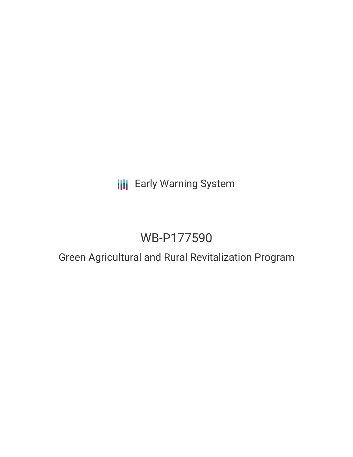# **III** Early Warning System

# WB-P177590

# Green Agricultural and Rural Revitalization Program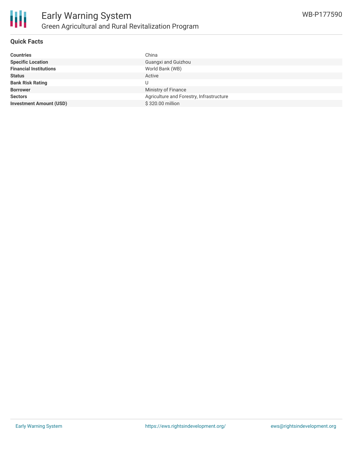

### **Quick Facts**

| <b>Countries</b>               | China                                    |
|--------------------------------|------------------------------------------|
| <b>Specific Location</b>       | Guangxi and Guizhou                      |
| <b>Financial Institutions</b>  | World Bank (WB)                          |
| <b>Status</b>                  | Active                                   |
| <b>Bank Risk Rating</b>        | U                                        |
| <b>Borrower</b>                | Ministry of Finance                      |
| <b>Sectors</b>                 | Agriculture and Forestry, Infrastructure |
| <b>Investment Amount (USD)</b> | \$320.00 million                         |
|                                |                                          |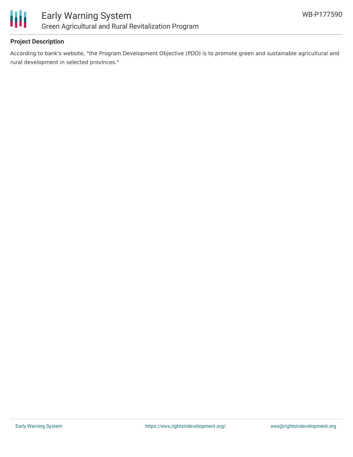

# **Project Description**

According to bank's website, "the Program Development Objective (PDO) is to promote green and sustainable agricultural and rural development in selected provinces."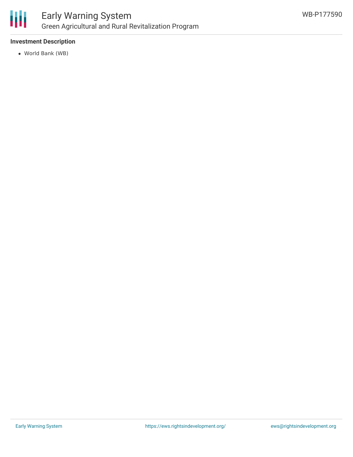

# **Investment Description**

World Bank (WB)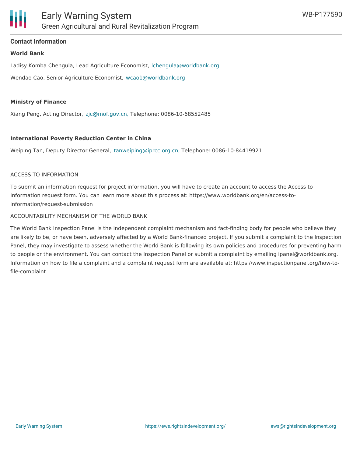### **Contact Information**

#### **World Bank**

Ladisy Komba Chengula, Lead Agriculture Economist, [lchengula@worldbank.org](mailto:lchengula@worldbank.org) Wendao Cao, Senior Agriculture Economist, [wcao1@worldbank.org](mailto:wcao1@worldbank.org)

#### **Ministry of Finance**

Xiang Peng, Acting Director, [zjc@mof.gov.cn,](mailto:zjc@mof.gov.cn,) Telephone: 0086-10-68552485

#### **International Poverty Reduction Center in China**

Weiping Tan, Deputy Director General, [tanweiping@iprcc.org.cn,](mailto:tanweiping@iprcc.org.cn,) Telephone: 0086-10-84419921

#### ACCESS TO INFORMATION

To submit an information request for project information, you will have to create an account to access the Access to Information request form. You can learn more about this process at: https://www.worldbank.org/en/access-toinformation/request-submission

#### ACCOUNTABILITY MECHANISM OF THE WORLD BANK

The World Bank Inspection Panel is the independent complaint mechanism and fact-finding body for people who believe they are likely to be, or have been, adversely affected by a World Bank-financed project. If you submit a complaint to the Inspection Panel, they may investigate to assess whether the World Bank is following its own policies and procedures for preventing harm to people or the environment. You can contact the Inspection Panel or submit a complaint by emailing ipanel@worldbank.org. Information on how to file a complaint and a complaint request form are available at: https://www.inspectionpanel.org/how-tofile-complaint